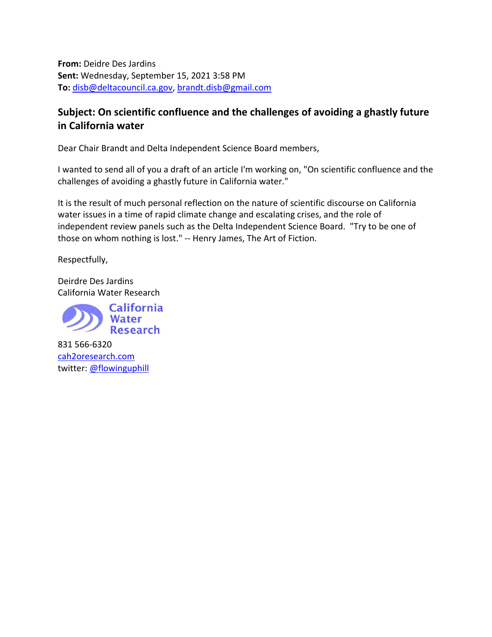**From:** Deidre Des Jardins **Sent:** Wednesday, September 15, 2021 3:58 PM **To:** [disb@deltacouncil.ca.gov,](mailto:disb@deltacouncil.ca.gov) [brandt.disb@gmail.com](mailto:brandt.disb@gmail.com)

## **Subject: On scientific confluence and the challenges of avoiding a ghastly future in California water**

Dear Chair Brandt and Delta Independent Science Board members,

I wanted to send all of you a draft of an article I'm working on, "On scientific confluence and the challenges of avoiding a ghastly future in California water."

It is the result of much personal reflection on the nature of scientific discourse on California water issues in a time of rapid climate change and escalating crises, and the role of independent review panels such as the Delta Independent Science Board. "Try to be one of those on whom nothing is lost." -- Henry James, The Art of Fiction.

Respectfully,

Deirdre Des Jardins California Water Research



831 566-6320 [cah2oresearch.com](http://cah2oresearch.com/) twitter: [@flowinguphill](https://twitter.com/flowinguphill)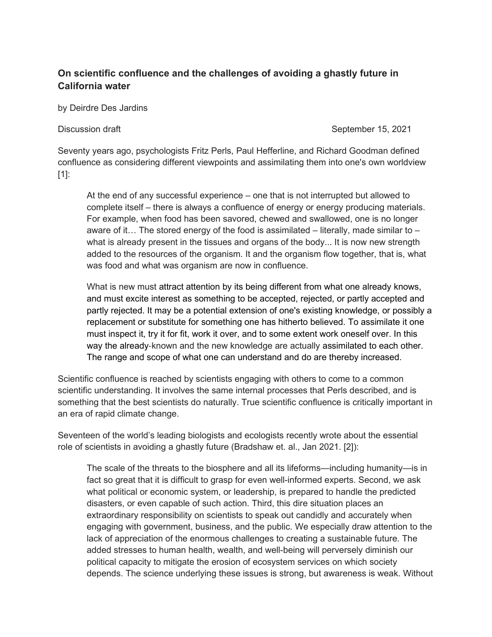## **On scientific confluence and the challenges of avoiding a ghastly future in California water**

by Deirdre Des Jardins

Discussion draft September 15, 2021

Seventy years ago, psychologists Fritz Perls, Paul Hefferline, and Richard Goodman defined confluence as considering different viewpoints and assimilating them into one's own worldview [1]:

At the end of any successful experience – one that is not interrupted but allowed to complete itself – there is always a confluence of energy or energy producing materials. For example, when food has been savored, chewed and swallowed, one is no longer aware of it... The stored energy of the food is assimilated – literally, made similar to  $$ what is already present in the tissues and organs of the body... It is now new strength added to the resources of the organism. It and the organism flow together, that is, what was food and what was organism are now in confluence.

What is new must attract attention by its being different from what one already knows, and must excite interest as something to be accepted, rejected, or partly accepted and partly rejected. It may be a potential extension of one's existing knowledge, or possibly a replacement or substitute for something one has hitherto believed. To assimilate it one must inspect it, try it for fit, work it over, and to some extent work oneself over. In this way the already-known and the new knowledge are actually assimilated to each other. The range and scope of what one can understand and do are thereby increased.

Scientific confluence is reached by scientists engaging with others to come to a common scientific understanding. It involves the same internal processes that Perls described, and is something that the best scientists do naturally. True scientific confluence is critically important in an era of rapid climate change.

Seventeen of the world's leading biologists and ecologists recently wrote about the essential role of scientists in avoiding a ghastly future (Bradshaw et. al., Jan 2021. [2]):

The scale of the threats to the biosphere and all its lifeforms—including humanity—is in fact so great that it is difficult to grasp for even well-informed experts. Second, we ask what political or economic system, or leadership, is prepared to handle the predicted disasters, or even capable of such action. Third, this dire situation places an extraordinary responsibility on scientists to speak out candidly and accurately when engaging with government, business, and the public. We especially draw attention to the lack of appreciation of the enormous challenges to creating a sustainable future. The added stresses to human health, wealth, and well-being will perversely diminish our political capacity to mitigate the erosion of ecosystem services on which society depends. The science underlying these issues is strong, but awareness is weak. Without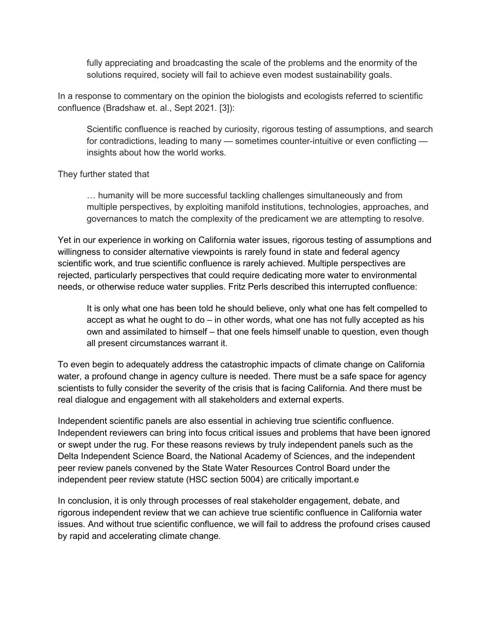fully appreciating and broadcasting the scale of the problems and the enormity of the solutions required, society will fail to achieve even modest sustainability goals.

In a response to commentary on the opinion the biologists and ecologists referred to scientific confluence (Bradshaw et. al., Sept 2021. [3]):

Scientific confluence is reached by curiosity, rigorous testing of assumptions, and search for contradictions, leading to many — sometimes counter-intuitive or even conflicting insights about how the world works.

They further stated that

… humanity will be more successful tackling challenges simultaneously and from multiple perspectives, by exploiting manifold institutions, technologies, approaches, and governances to match the complexity of the predicament we are attempting to resolve.

Yet in our experience in working on California water issues, rigorous testing of assumptions and willingness to consider alternative viewpoints is rarely found in state and federal agency scientific work, and true scientific confluence is rarely achieved. Multiple perspectives are rejected, particularly perspectives that could require dedicating more water to environmental needs, or otherwise reduce water supplies. Fritz Perls described this interrupted confluence:

It is only what one has been told he should believe, only what one has felt compelled to accept as what he ought to do – in other words, what one has not fully accepted as his own and assimilated to himself – that one feels himself unable to question, even though all present circumstances warrant it.

To even begin to adequately address the catastrophic impacts of climate change on California water, a profound change in agency culture is needed. There must be a safe space for agency scientists to fully consider the severity of the crisis that is facing California. And there must be real dialogue and engagement with all stakeholders and external experts.

Independent scientific panels are also essential in achieving true scientific confluence. Independent reviewers can bring into focus critical issues and problems that have been ignored or swept under the rug. For these reasons reviews by truly independent panels such as the Delta Independent Science Board, the National Academy of Sciences, and the independent peer review panels convened by the State Water Resources Control Board under the independent peer review statute (HSC section 5004) are critically important.e

In conclusion, it is only through processes of real stakeholder engagement, debate, and rigorous independent review that we can achieve true scientific confluence in California water issues. And without true scientific confluence, we will fail to address the profound crises caused by rapid and accelerating climate change.